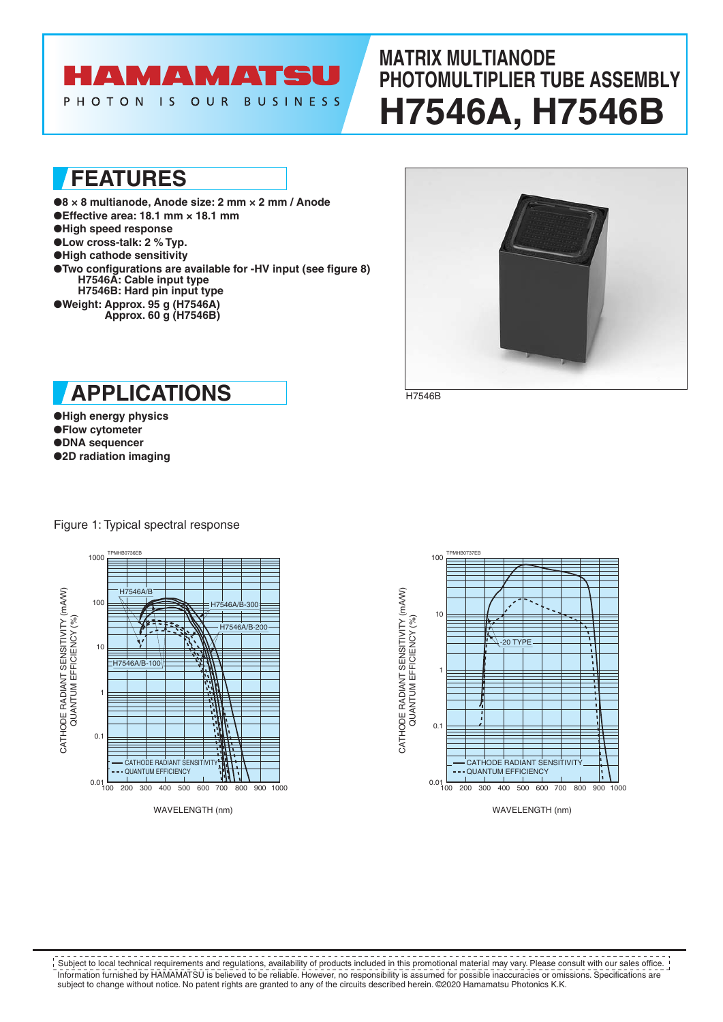# **AMAMATSU**

**BUSINESS** PHOTON IS OUR

# **MATRIX MULTIANODE PHOTOMULTIPLIER TUBE ASSEMBLY H7546A, H7546B**

**FEATURES**

●**8 × 8 multianode, Anode size: 2 mm × 2 mm / Anode** ●**Effective area: 18.1 mm × 18.1 mm** ●**High speed response** ●**Low cross-talk: 2 % Typ.** ●**High cathode sensitivity** ●**Two configurations are available for -HV input (see figure 8) H7546A: Cable input type H7546B: Hard pin input type** ●**Weight: Approx. 95 g (H7546A) Approx. 60 g (H7546B)**



H7546B

**APPLICATIONS**

●**High energy physics** ●**Flow cytometer** ●**DNA sequencer**

●**2D radiation imaging**



Figure 1: Typical spectral response



WAVELENGTH (nm)

Information furnished by HAMAMATSU is believed to be reliable. However, no responsibility is assumed for possible inaccuracies or omissions. Specifications are subject to change without notice. No patent rights are granted to any of the circuits described herein. ©2020 Hamamatsu Photonics K.K. **SUBJECT TO LOCAL TECHNICAL REGISTMENT CONCORDITION** CONDUCTS INCLUDED TO LOCAL THE SUBJECT THE SUBJECT THE SUBJECT<br>In Subject to local technical requirements and regulations, availability of products included in this prom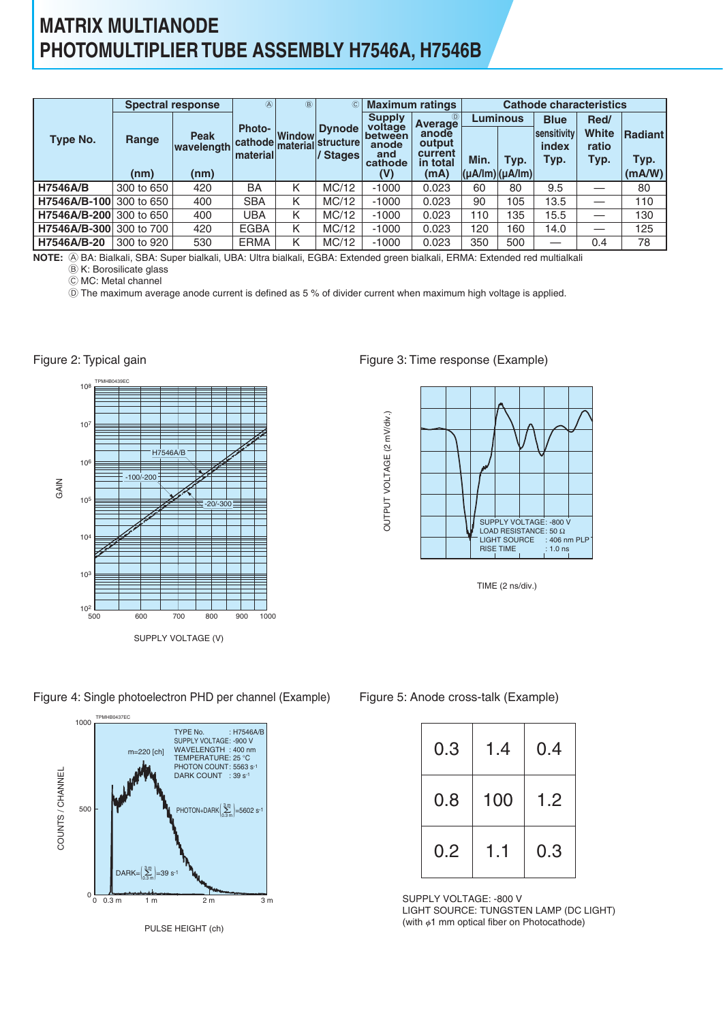## **MATRIX MULTIANODE PHOTOMULTIPLIER TUBE ASSEMBLY H7546A, H7546B**

|                         |            | <b>Spectral response</b>  | $\circledA$                  | $\circledR$   | $\circled{c}$         |                                    | <b>Maximum ratings</b>                 | <b>Cathode characteristics</b>              |      |                              |                        |                        |  |
|-------------------------|------------|---------------------------|------------------------------|---------------|-----------------------|------------------------------------|----------------------------------------|---------------------------------------------|------|------------------------------|------------------------|------------------------|--|
|                         |            |                           | <b>Photo-</b>                |               | <b>Dynode</b>         | <b>Supply</b><br>voltage           | $^{\circ}$<br>Average                  | Luminous                                    |      | <b>Blue</b>                  | Red/                   |                        |  |
| <b>Type No.</b>         | Range      | <b>Peak</b><br>wavelength | cathode material<br>material | <b>Window</b> | ∣structure∣<br>Stages | between<br>anode<br>and<br>cathode | anode<br>output<br>current<br>in total | Min.                                        | Typ. | sensitivity<br>index<br>Typ. | White<br>ratio<br>Typ. | <b>Radiant</b><br>Typ. |  |
|                         | (nm)       | (nm)                      |                              |               |                       | (V)                                | (mA)                                   | $ (\mu A / \text{Im}) (\mu A / \text{Im}) $ |      |                              |                        | (mA/W)                 |  |
| <b>H7546A/B</b>         | 300 to 650 | 420                       | BA                           | κ             | MC/12                 | $-1000$                            | 0.023                                  | 60                                          | 80   | 9.5                          |                        | 80                     |  |
| H7546A/B-100 300 to 650 |            | 400                       | <b>SBA</b>                   | Κ             | MC/12                 | $-1000$                            | 0.023                                  | 90                                          | 105  | 13.5                         |                        | 110                    |  |
| H7546A/B-200 300 to 650 |            | 400                       | <b>UBA</b>                   | Κ             | MC/12                 | $-1000$                            | 0.023                                  | 110                                         | 135  | 15.5                         |                        | 130                    |  |
| H7546A/B-300 300 to 700 |            | 420                       | <b>EGBA</b>                  | Κ             | MC/12                 | $-1000$                            | 0.023                                  | 120                                         | 160  | 14.0                         | —                      | 125                    |  |
| H7546A/B-20             | 300 to 920 | 530                       | <b>ERMA</b>                  | Κ             | MC/12                 | $-1000$                            | 0.023                                  | 350                                         | 500  | –                            | 0.4                    | 78                     |  |

NOTE: (A) BA: Bialkali, SBA: Super bialkali, UBA: Ultra bialkali, EGBA: Extended green bialkali, ERMA: Extended red multialkali

B K: Borosilicate glass

C MC: Metal channel

Figure 2: Typical gain

D The maximum average anode current is defined as 5 % of divider current when maximum high voltage is applied.

TPMHB0439EC 500 700 SUPPLY VOLTAGE (V) 600 800 900 1000 **GAIN**  $10^2$   $500$ 103  $10<sup>4</sup>$ 105 106 107 108 H7546A/B  $-100$ -20/-300

#### Figure 3: Time response (Example)



TIME (2 ns/div.)

#### Figure 4: Single photoelectron PHD per channel (Example) Figure 5: Anode cross-talk (Example)



PULSE HEIGHT (ch)

| 0.3 | 1.4 | 0.4 |
|-----|-----|-----|
| 0.8 | 100 | 1.2 |
| 0.2 | 1.1 | 0.3 |

SUPPLY VOLTAGE: -800 V LIGHT SOURCE: TUNGSTEN LAMP (DC LIGHT) (with  $\phi$ 1 mm optical fiber on Photocathode)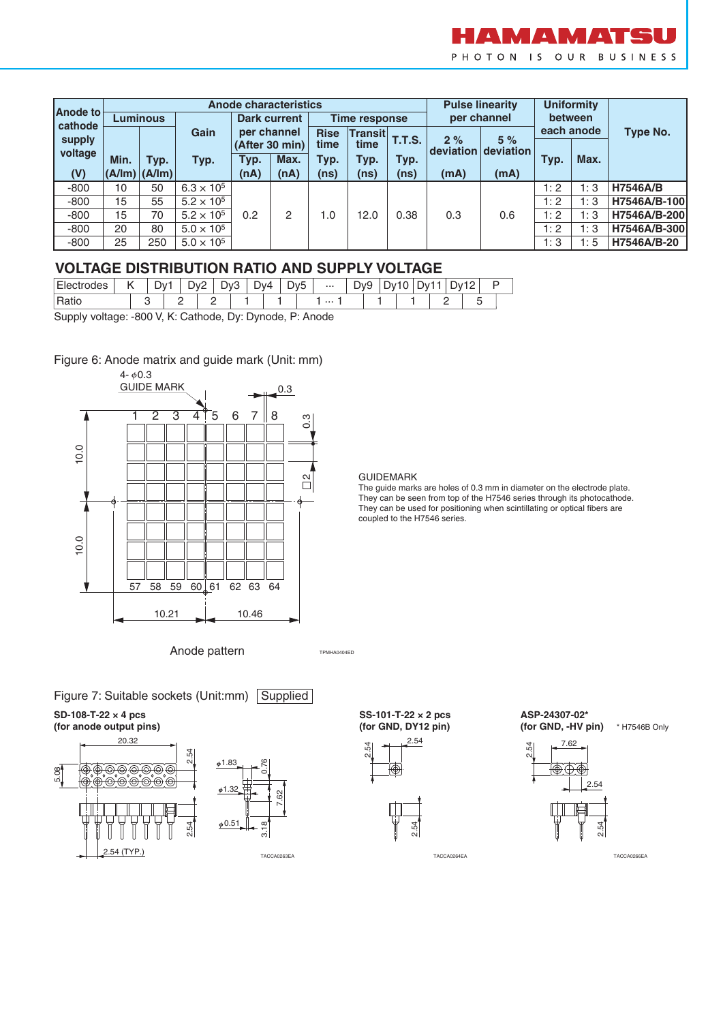

| Anode to |                 |                   |                     |                     | <b>Anode characteristics</b> |                      | <b>Pulse linearity</b> |               | <b>Uniformity</b> |             |            |      |                 |  |
|----------|-----------------|-------------------|---------------------|---------------------|------------------------------|----------------------|------------------------|---------------|-------------------|-------------|------------|------|-----------------|--|
| cathode  | <b>Luminous</b> |                   |                     | <b>Dark current</b> |                              | <b>Time response</b> |                        |               |                   | per channel | between    |      |                 |  |
| supply   |                 |                   | Gain                |                     | per channel                  | <b>Rise</b>          | Transit                | <b>T.T.S.</b> | 2%                | 5%          | each anode |      | Type No.        |  |
| voltage  |                 |                   | Typ.                | (After 30 min)      |                              | time<br>time         |                        |               | deviation         | deviation   |            |      |                 |  |
|          | Min.            | Typ.              |                     | Typ.                | Max.                         | Typ.                 | Typ.                   | Typ.          |                   |             | Typ.       | Max. |                 |  |
| (V)      |                 | $(A/Im)$ $(A/Im)$ |                     | (nA)                | (nA)                         | (ns)                 | (ns)                   | (ns)          | (mA)              | (mA)        |            |      |                 |  |
| $-800$   | 10              | 50                | $6.3 \times 10^{5}$ | 0.2                 |                              |                      | 12.0                   | 0.38          | 0.3               | 0.6         | 1:2        | 1:3  | <b>H7546A/B</b> |  |
| $-800$   | 15              | 55                | $5.2 \times 10^{5}$ |                     |                              |                      |                        |               |                   |             | 1:2        | 1:3  | H7546A/B-100    |  |
| $-800$   | 15              | 70                | $5.2 \times 10^{5}$ |                     | 2                            | 1.0                  |                        |               |                   |             | 1:2        | 1:3  | H7546A/B-200    |  |
| $-800$   | 20              | 80                | $5.0 \times 10^{5}$ |                     |                              |                      |                        |               |                   |             | 1:2        | 1:3  | H7546A/B-300    |  |
| $-800$   | 25              | 250               | $5.0 \times 10^{5}$ |                     |                              |                      |                        |               |                   |             | 1:3        | 1:5  | H7546A/B-20     |  |

### **VOLTAGE DISTRIBUTION RATIO AND SUPPLY VOLTAGE**

| Elect<br>odes    | ייר |   | י \∨∪         | Dv4 | -<br>Dv5 | $\cdots$ | Dv9 | JV |  |  |  |
|------------------|-----|---|---------------|-----|----------|----------|-----|----|--|--|--|
| Ratio            |     | _ |               |     |          | $\cdots$ |     |    |  |  |  |
| $\sim$<br>$\sim$ |     |   | $\sim$ $\sim$ |     | __       |          |     |    |  |  |  |

Supply voltage: -800 V, K: Cathode, Dy: Dynode, P: Anode

### Figure 6: Anode matrix and guide mark (Unit: mm)



Anode pattern



**SD-108-T-22 × 4 pcs (for anode output pins)**





**SS-101-T-22 × 2 pcs (for GND, DY12 pin)**

TPMHA0404ED



**ASP-24307-02\*** 





#### GUIDEMARK

The guide marks are holes of 0.3 mm in diameter on the electrode plate. They can be seen from top of the H7546 series through its photocathode. They can be used for positioning when scintillating or optical fibers are coupled to the H7546 series.